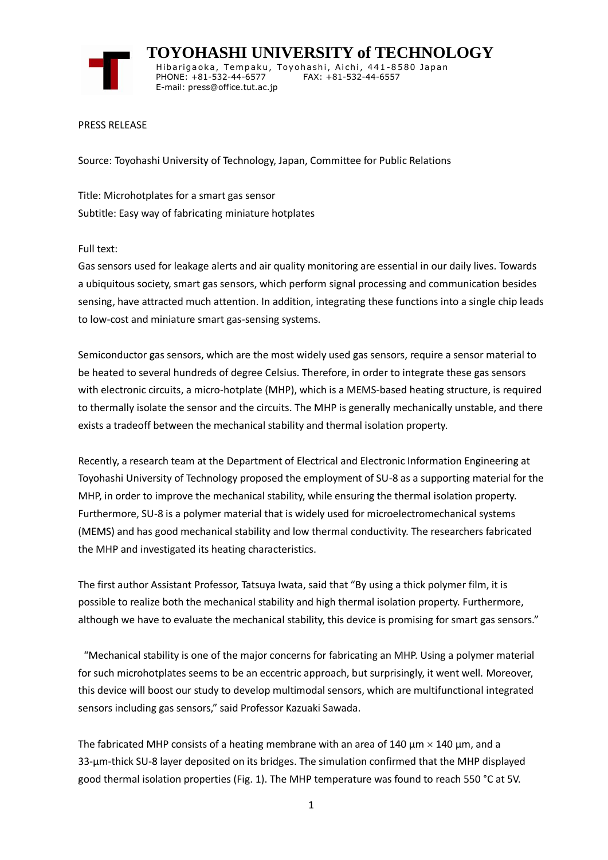

 **TOYOHASHI UNIVERSITY of TECHNOLOGY** Hibarigaoka, Tempaku, Toyohashi, Aichi, 441-8580 Japan PHONE: +81-532-44-6577 FAX: +81-532-44-6557 E-mail: press@office.tut.ac.jp

## PRESS RELEASE

Source: Toyohashi University of Technology, Japan, Committee for Public Relations

Title: Microhotplates for a smart gas sensor Subtitle: Easy way of fabricating miniature hotplates

Full text:

Gas sensors used for leakage alerts and air quality monitoring are essential in our daily lives. Towards a ubiquitous society, smart gas sensors, which perform signal processing and communication besides sensing, have attracted much attention. In addition, integrating these functions into a single chip leads to low-cost and miniature smart gas-sensing systems.

Semiconductor gas sensors, which are the most widely used gas sensors, require a sensor material to be heated to several hundreds of degree Celsius. Therefore, in order to integrate these gas sensors with electronic circuits, a micro-hotplate (MHP), which is a MEMS-based heating structure, is required to thermally isolate the sensor and the circuits. The MHP is generally mechanically unstable, and there exists a tradeoff between the mechanical stability and thermal isolation property.

Recently, a research team at the Department of Electrical and Electronic Information Engineering at Toyohashi University of Technology proposed the employment of SU-8 as a supporting material for the MHP, in order to improve the mechanical stability, while ensuring the thermal isolation property. Furthermore, SU-8 is a polymer material that is widely used for microelectromechanical systems (MEMS) and has good mechanical stability and low thermal conductivity. The researchers fabricated the MHP and investigated its heating characteristics.

The first author Assistant Professor, Tatsuya Iwata, said that "By using a thick polymer film, it is possible to realize both the mechanical stability and high thermal isolation property. Furthermore, although we have to evaluate the mechanical stability, this device is promising for smart gas sensors."

"Mechanical stability is one of the major concerns for fabricating an MHP. Using a polymer material for such microhotplates seems to be an eccentric approach, but surprisingly, it went well. Moreover, this device will boost our study to develop multimodal sensors, which are multifunctional integrated sensors including gas sensors," said Professor Kazuaki Sawada.

The fabricated MHP consists of a heating membrane with an area of 140  $\mu$ m  $\times$  140  $\mu$ m, and a 33-μm-thick SU-8 layer deposited on its bridges. The simulation confirmed that the MHP displayed good thermal isolation properties (Fig. 1). The MHP temperature was found to reach 550 °C at 5V.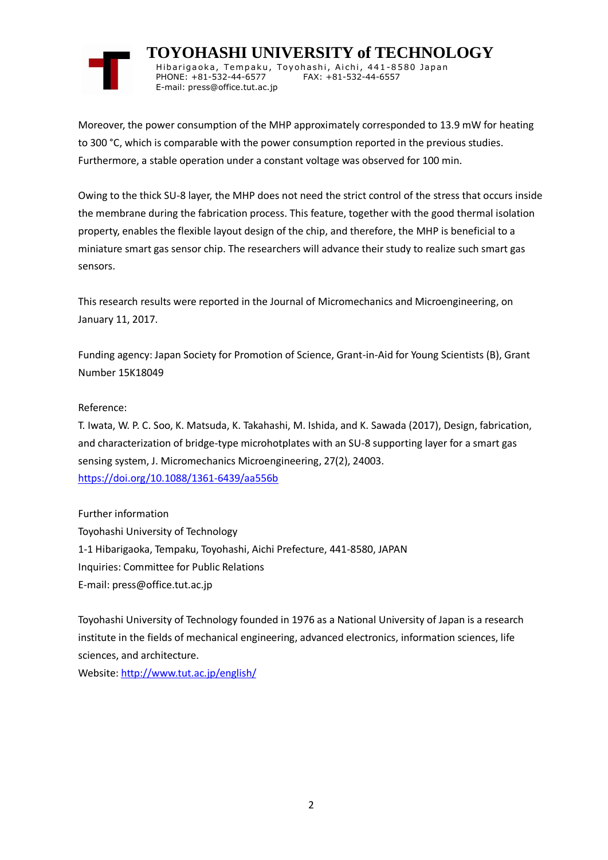

 **TOYOHASHI UNIVERSITY of TECHNOLOGY** Hibarigaoka, Tempaku, Toyohashi, Aichi, 441-8580 Japan PHONE: +81-532-44-6577 FAX: +81-532-44-6557 E-mail: press@office.tut.ac.jp

Moreover, the power consumption of the MHP approximately corresponded to 13.9 mW for heating to 300 °C, which is comparable with the power consumption reported in the previous studies. Furthermore, a stable operation under a constant voltage was observed for 100 min.

Owing to the thick SU-8 layer, the MHP does not need the strict control of the stress that occurs inside the membrane during the fabrication process. This feature, together with the good thermal isolation property, enables the flexible layout design of the chip, and therefore, the MHP is beneficial to a miniature smart gas sensor chip. The researchers will advance their study to realize such smart gas sensors.

This research results were reported in the Journal of Micromechanics and Microengineering, on January 11, 2017.

Funding agency: Japan Society for Promotion of Science, Grant-in-Aid for Young Scientists (B), Grant Number 15K18049

Reference:

T. Iwata, W. P. C. Soo, K. Matsuda, K. Takahashi, M. Ishida, and K. Sawada (2017), Design, fabrication, and characterization of bridge-type microhotplates with an SU-8 supporting layer for a smart gas sensing system, J. Micromechanics Microengineering, 27(2), 24003. <https://doi.org/10.1088/1361-6439/aa556b>

Further information Toyohashi University of Technology 1-1 Hibarigaoka, Tempaku, Toyohashi, Aichi Prefecture, 441-8580, JAPAN Inquiries: Committee for Public Relations E-mail: press@office.tut.ac.jp

Toyohashi University of Technology founded in 1976 as a National University of Japan is a research institute in the fields of mechanical engineering, advanced electronics, information sciences, life sciences, and architecture.

Website[: http://www.tut.ac.jp/english/](https://www.tut.ac.jp/english/)